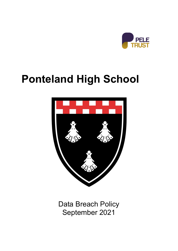

# **Ponteland High School**



Data Breach Policy September 2021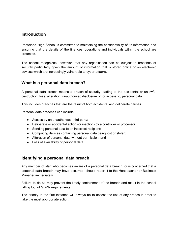#### **Introduction**

Ponteland High School is committed to maintaining the confidentiality of its information and ensuring that the details of the finances, operations and individuals within the school are protected.

The school recognises, however, that any organisation can be subject to breaches of security particularly given the amount of information that is stored online or on electronic devices which are increasingly vulnerable to cyber-attacks.

## **What is a personal data breach?**

A personal data breach means a breach of security leading to the accidental or unlawful destruction, loss, alteration, unauthorised disclosure of, or access to, personal data.

This includes breaches that are the result of both accidental and deliberate causes.

Personal data breaches can include:

- Access by an unauthorised third party;
- Deliberate or accidental action (or inaction) by a controller or processor;
- Sending personal data to an incorrect recipient:
- Computing devices containing personal data being lost or stolen;
- Alteration of personal data without permission; and
- Loss of availability of personal data.

#### **Identifying a personal data breach**

Any member of staff who becomes aware of a personal data breach, or is concerned that a personal data breach may have occurred, should report it to the Headteacher or Business Manager immediately.

Failure to do so may prevent the timely containment of the breach and result in the school falling foul of GDPR requirements.

The priority in the first instance will always be to assess the risk of any breach in order to take the most appropriate action.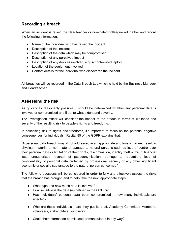# **Recording a breach**

When an incident is raised the Headteacher or nominated colleague will gather and record the following information:

- Name of the individual who has raised the incident
- Description of the incident
- Description of the data which may be compromised
- Description of any perceived impact
- Description of any devices involved, e.g. school-owned laptop
- Location of the equipment involved
- Contact details for the individual who discovered the incident

All breaches will be recorded in the Data Breach Log which is held by the Business Manager and Headteacher.

## **Assessing the risk**

As quickly as reasonably possible it should be determined whether any personal data is involved or compromised and if so, to what extent and severity.

The investigation officer will consider the impact of the breach in terms of likelihood and severity of the resulting risk to people's rights and freedoms.

In assessing risk to rights and freedoms, it's important to focus on the potential negative consequences for individuals. Recital 85 of the GDPR explains that:

"A personal data breach may, if not addressed in an appropriate and timely manner, result in physical, material or non-material damage to natural persons such as loss of control over their personal data or limitation of their rights, discrimination, identity theft or fraud, financial loss, unauthorised reversal of pseudonymisation, damage to reputation, loss of confidentiality of personal data protected by professional secrecy or any other significant economic or social disadvantage to the natural person concerned."

The following questions will be considered in order to fully and effectively assess the risks that the breach has brought, and to help take the next appropriate steps.

- What type and how much data is involved?
- How sensitive is the data (as defined in the GDPR)?
- Has individuals' personal data been compromised how many individuals are affected?
- Who are these individuals are they pupils, staff, Academy Committee Members, volunteers, stakeholders, suppliers?
- Could their information be misused or manipulated in any way?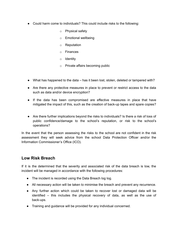- Could harm come to individuals? This could include risks to the following:
	- o Physical safety
	- o Emotional wellbeing
	- o Reputation
	- o Finances
	- o Identity
	- o Private affairs becoming public
- What has happened to the data has it been lost, stolen, deleted or tampered with?
- Are there any protective measures in place to prevent or restrict access to the data such as data and/or device encryption?
- **●** If the data has been compromised are effective measures in place that have mitigated the impact of this, such as the creation of back-up tapes and spare copies?
- Are there further implications beyond the risks to individuals? Is there a risk of loss of public confidence/damage to the school's reputation, or risk to the school's operations?

In the event that the person assessing the risks to the school are not confident in the risk assessment they will seek advice from the school Data Protection Officer and/or the Information Commissioner's Office (ICO).

#### **Low Risk Breach**

If it is the determined that the severity and associated risk of the data breach is low, the incident will be managed in accordance with the following procedures:

- The incident is recorded using the Data Breach log log.
- All necessary action will be taken to minimise the breach and prevent any recurrence.
- Any further action which could be taken to recover lost or damaged data will be identified – this includes the physical recovery of data, as well as the use of back-ups.
- Training and guidance will be provided for any individual concerned.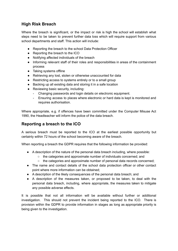# **High Risk Breach**

Where the breach is significant, or the impact or risk is high the school will establish what steps need to be taken to prevent further data loss which will require support from various school departments and staff. This action will include:

- Reporting the breach to the school Data Protection Officer
- Reporting the breach to the ICO
- Notifying affected individuals of the breach
- Informing relevant staff of their roles and responsibilities in areas of the containment process
- Taking systems offline
- Retrieving any lost, stolen or otherwise unaccounted for data
- Restricting access to systems entirely or to a small group
- Backing up all existing data and storing it in a safe location
- Reviewing basic security, including:
	- Changing passwords and login details on electronic equipment.
	- Ensuring access to places where electronic or hard data is kept is monitored and requires authorisation.

Where appropriate, e.g. if offences have been committed under the Computer Misuse Act 1990, the Headteacher will inform the police of the data breach.

## **Reporting a breach to the ICO**

A serious breach must be reported to the ICO at the earliest possible opportunity but certainly within 72 hours of the school becoming aware of the breach.

When reporting a breach the GDPR requires that the following information be provided:

- A description of the nature of the personal data breach including, where possible:
	- the categories and approximate number of individuals concerned; and
	- the categories and approximate number of personal data records concerned;
- The name and contact details of the school data protection officer or other contact point where more information can be obtained;
- A description of the likely consequences of the personal data breach; and
- A description of the measures taken, or proposed to be taken, to deal with the personal data breach, including, where appropriate, the measures taken to mitigate any possible adverse effects.

It is possible that not all information will be available without further or additional investigation. This should not prevent the incident being reported to the ICO. There is provision within the GDPR to provide information in stages as long as appropriate priority is being given to the investigation.